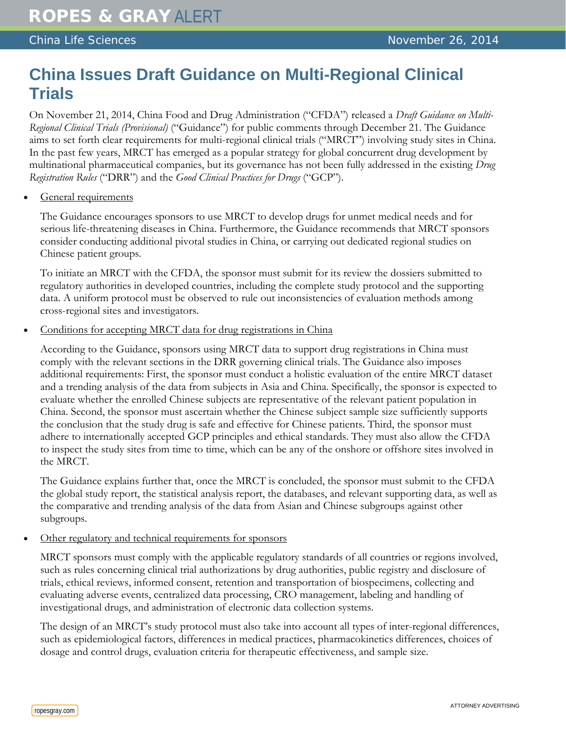## **China Issues Draft Guidance on Multi-Regional Clinical Trials**

On November 21, 2014, China Food and Drug Administration ("CFDA") released a *Draft Guidance on Multi-Regional Clinical Trials (Provisional)* ("Guidance") for public comments through December 21. The Guidance aims to set forth clear requirements for multi-regional clinical trials ("MRCT") involving study sites in China. In the past few years, MRCT has emerged as a popular strategy for global concurrent drug development by multinational pharmaceutical companies, but its governance has not been fully addressed in the existing *Drug Registration Rules* ("DRR") and the *Good Clinical Practices for Drugs* ("GCP").

General requirements

The Guidance encourages sponsors to use MRCT to develop drugs for unmet medical needs and for serious life-threatening diseases in China. Furthermore, the Guidance recommends that MRCT sponsors consider conducting additional pivotal studies in China, or carrying out dedicated regional studies on Chinese patient groups.

To initiate an MRCT with the CFDA, the sponsor must submit for its review the dossiers submitted to regulatory authorities in developed countries, including the complete study protocol and the supporting data. A uniform protocol must be observed to rule out inconsistencies of evaluation methods among cross-regional sites and investigators.

Conditions for accepting MRCT data for drug registrations in China

According to the Guidance, sponsors using MRCT data to support drug registrations in China must comply with the relevant sections in the DRR governing clinical trials. The Guidance also imposes additional requirements: First, the sponsor must conduct a holistic evaluation of the entire MRCT dataset and a trending analysis of the data from subjects in Asia and China. Specifically, the sponsor is expected to evaluate whether the enrolled Chinese subjects are representative of the relevant patient population in China. Second, the sponsor must ascertain whether the Chinese subject sample size sufficiently supports the conclusion that the study drug is safe and effective for Chinese patients. Third, the sponsor must adhere to internationally accepted GCP principles and ethical standards. They must also allow the CFDA to inspect the study sites from time to time, which can be any of the onshore or offshore sites involved in the MRCT.

The Guidance explains further that, once the MRCT is concluded, the sponsor must submit to the CFDA the global study report, the statistical analysis report, the databases, and relevant supporting data, as well as the comparative and trending analysis of the data from Asian and Chinese subgroups against other subgroups.

• Other regulatory and technical requirements for sponsors

MRCT sponsors must comply with the applicable regulatory standards of all countries or regions involved, such as rules concerning clinical trial authorizations by drug authorities, public registry and disclosure of trials, ethical reviews, informed consent, retention and transportation of biospecimens, collecting and evaluating adverse events, centralized data processing, CRO management, labeling and handling of investigational drugs, and administration of electronic data collection systems.

The design of an MRCT's study protocol must also take into account all types of inter-regional differences, such as epidemiological factors, differences in medical practices, pharmacokinetics differences, choices of dosage and control drugs, evaluation criteria for therapeutic effectiveness, and sample size.